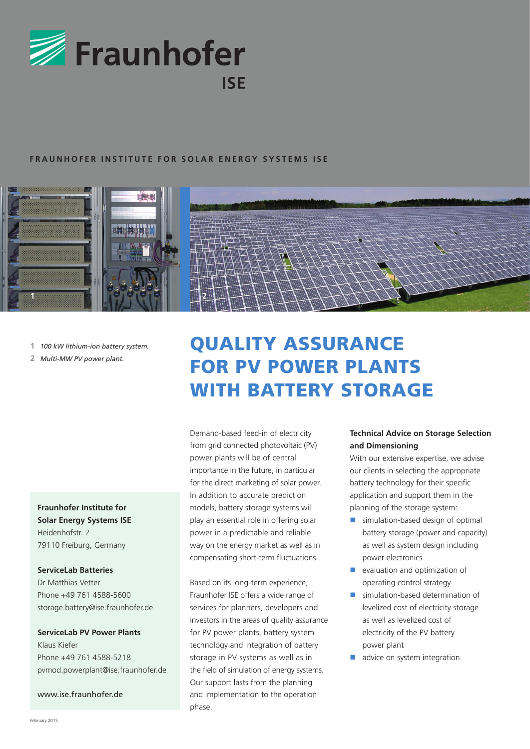

## **FRAUNHOFER INSTITUTE FOR SOLAR ENERGY SYSTEMS ISE**



- **1** *100 kW lithium-ion battery system.*
- **2** *Multi-MW PV power plant.*

## **Fraunhofer Institute for Solar Energy Systems ISE** Heidenhofstr. 2 79110 Freiburg, Germany

## **ServiceLab Batteries**

Dr Matthias Vetter Phone +49 761 4588-5600 storage.battery@ise.fraunhofer.de

## **ServiceLab PV Power Plants**

Klaus Kiefer Phone +49 761 4588-5218 pvmod.powerplant@ise.fraunhofer.de

www.ise.fraunhofer.de

# QUALITY ASSURANCE FOR PV POWER PLANTS WITH BATTERY STORAGE

Demand-based feed-in of electricity from grid connected photovoltaic (PV) power plants will be of central importance in the future, in particular for the direct marketing of solar power. In addition to accurate prediction models, battery storage systems will play an essential role in offering solar power in a predictable and reliable way on the energy market as well as in compensating short-term fluctuations.

Based on its long-term experience, Fraunhofer ISE offers a wide range of services for planners, developers and investors in the areas of quality assurance for PV power plants, battery system technology and integration of battery storage in PV systems as well as in the field of simulation of energy systems. Our support lasts from the planning and implementation to the operation phase.

## **Technical Advice on Storage Selection and Dimensioning**

With our extensive expertise, we advise our clients in selecting the appropriate battery technology for their specific application and support them in the planning of the storage system:

- simulation-based design of optimal battery storage (power and capacity) as well as system design including power electronics
- evaluation and optimization of operating control strategy
- simulation-based determination of levelized cost of electricity storage as well as levelized cost of electricity of the PV battery power plant
- advice on system integration